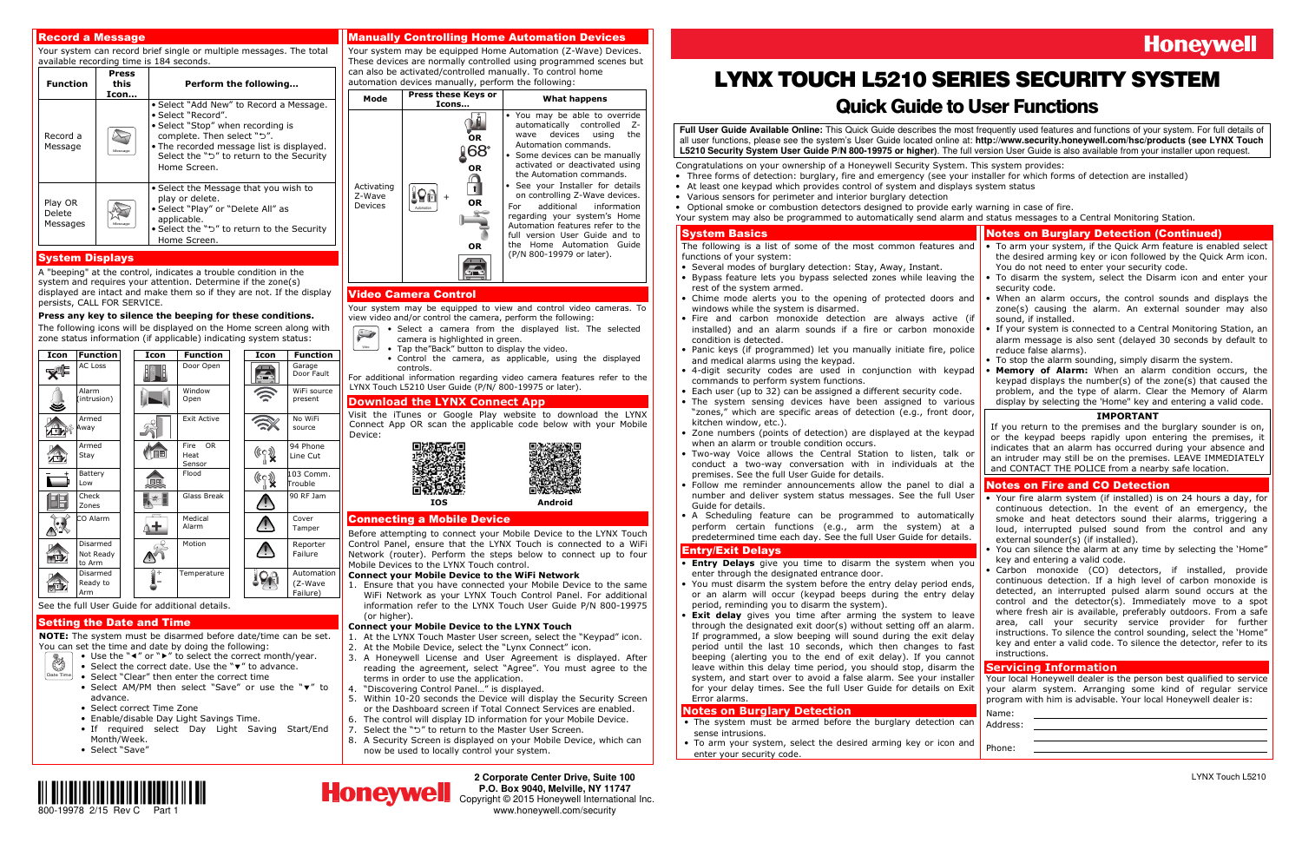

**2 Corporate Center Drive, Suite 100 P.O. Box 9040, Melville, NY 11747**  Copyright © 2015 Honeywell International Inc.www.honeywell.com/security

## **Honeywell**

### Record a Message

 Your system can record brief single or multiple messages. The total available recording time is 184 seconds.

| <b>Function</b>               | Press<br>this<br>Icon | Perform the following                                                                                                                                                                                                                     |
|-------------------------------|-----------------------|-------------------------------------------------------------------------------------------------------------------------------------------------------------------------------------------------------------------------------------------|
| Record a<br>Message           | Message               | • Select "Add New" to Record a Message.<br>• Select "Record".<br>• Select "Stop" when recording is<br>complete. Then select "5".<br>. The recorded message list is displayed.<br>Select the "ל" to return to the Security<br>Home Screen. |
| Play OR<br>Delete<br>Messages |                       | • Select the Message that you wish to<br>play or delete.<br>• Select "Play" or "Delete All" as<br>applicable.<br>• Select the "5" to return to the Security<br>Home Screen.                                                               |

### System Displays

 A "beeping" at the control, indicates a trouble condition in the system and requires your attention. Determine if the zone(s) displayed are intact and make them so if they are not. If the display persists, CALL FOR SERVICE.

NOTE: The system must be disarmed before date/time can be set. You can set the time and date by doing the following:

### Press any key to silence the beeping for these conditions.

- Use the "◀" or "▶" to select the correct month/year.
- Date Time• Select the correct date. Use the "▼" to advance.
	- Select "Clear" then enter the correct time
	- Select AM/PM then select "Save" or use the "▼" to advance.
	- Select correct Time Zone
	- Enable/disable Day Light Savings Time.
	- If required select Day Light Saving Start/End Month/Week.
	- Select "Save"

 The following icons will be displayed on the Home screen along with zone status information (if applicable) indicating system status:

| Icon                                            | <b>Function</b>                 |  | Icon | <b>Function</b>                     |  | Icon        | <b>Function</b>                   |
|-------------------------------------------------|---------------------------------|--|------|-------------------------------------|--|-------------|-----------------------------------|
|                                                 | <b>AC Loss</b>                  |  |      | Door Open                           |  | <b>SIDE</b> | Garage<br>Door Fault              |
|                                                 | Alarm<br>(intrusion)            |  |      | Window<br>Open                      |  |             | WiFi source<br>present            |
|                                                 | Armed<br>Away                   |  |      | <b>Exit Active</b>                  |  |             | No WiFi<br>source                 |
|                                                 | Armed<br>Stay                   |  | JŦ   | <b>OR</b><br>Fire<br>Heat<br>Sensor |  |             | 94 Phone<br>Line Cut              |
|                                                 | Battery<br>Low                  |  | IF   | Flood                               |  | ((CO)       | 103 Comm.<br>Trouble              |
|                                                 | Check<br>Zones                  |  |      | Glass Break                         |  |             | 90 RF Jam                         |
|                                                 | CO Alarm                        |  |      | Medical<br>Alarm                    |  |             | Cover<br>Tamper                   |
|                                                 | Disarmed<br>Not Ready<br>to Arm |  |      | Motion                              |  |             | Reporter<br>Failure               |
|                                                 | Disarmed<br>Ready to<br>Arm     |  |      | Temperature                         |  |             | Automation<br>(Z-Wave<br>Failure) |
| See the full User Guide for additional details. |                                 |  |      |                                     |  |             |                                   |

### Setting the Date and Time

 1. Ensure that you have connected your Mobile Device to the same WiFi Network as your LYNX Touch Control Panel. For additional information refer to the LYNX Touch User Guide P/N 800-19975 (or higher).

### Manually Controlling Home Automation Devices

 Your system may be equipped Home Automation (Z-Wave) Devices. These devices are normally controlled using programmed scenes but can also be activated/controlled manually. To control home automation devices manually, perform the following:



- Several modes of burglary detection: Stay, Away, Instant.
- Bypass feature lets you bypass selected zones while leaving the rest of the system armed.
- Chime mode alerts you to the opening of protected doors and windows while the system is disarmed.
- Fire and carbon monoxide detection are always active (if installed) and an alarm sounds if a fire or carbon monox condition is detected.
- Panic keys (if programmed) let you manually initiate fire, police and medical alarms using the keypad.
- 4-digit security codes are used in conjunction with keypad commands to perform system functions.
- Each user (up to 32) can be assigned a different security code.
- The system sensing devices have been assigned to vari "zones," which are specific areas of detection (e.g., front do kitchen window, etc.).
- Zone numbers (points of detection) are displayed at the keypad when an alarm or trouble condition occurs.
- Two-way Voice allows the Central Station to listen, talk or  $\frac{1}{2}$  conduct a two-way conversation with in individuals at premises. See the full User Guide for details.
- Follow me reminder announcements allow the panel to dial a •number and deliver system status messages. See the full U Guide for details.
- A Scheduling feature can be programmed to automatically perform certain functions (e.g., arm the system) at predetermined time each day. See the full User Guide for deta

### Video Camera Control

 Your system may be equipped to view and control video cameras. To view video and/or control the camera, perform the following:

Video

- Select a camera from the displayed list. The selected  $\sum$ camera is highlighted in green.
	- Tap the"Back" button to display the video.
	- Control the camera, as applicable, using the displayed controls.

 For additional information regarding video camera features refer to the LYNX Touch L5210 User Guide (P/N/ 800-19975 or later).

### Download the LYNX Connect App

 Visit the iTunes or Google Play website to download the LYNX Connect App OR scan the applicable code below with your Mobile Device:



### Connecting a Mobile Device

Before attempting to connect your Mobile Device to the LYNX Touch Control Panel, ensure that the LYNX Touch is connected to a WiFi Network (router). Perform the steps below to connect up to four Mobile Devices to the LYNX Touch control.

### Connect your Mobile Device to the WiFi Network

- **Entry Delays** give you time to disarm the system when you enter through the designated entrance door.
- You must disarm the system before the entry delay period ends, or an alarm will occur (keypad beeps during the entry de period, reminding you to disarm the system).
- **Exit delay** gives you time after arming the system to leave •through the designated exit door(s) without setting off an ala If programmed, a slow beeping will sound during the exit de period until the last  $10$  seconds, which then changes to beeping (alerting you to the end of exit delay). If you can leave within this delay time period, you should stop, disarm system, and start over to avoid a false alarm. See your install for your delay times. See the full User Guide for details on Error alarms.

### Connect your Mobile Device to the LYNX Touch

- 1. At the LYNX Touch Master User screen, select the "Keypad" icon.
- 2. At the Mobile Device, select the "Lynx Connect" icon.
- 3. A Honeywell License and User Agreement is displayed. After reading the agreement, select "Agree". You must agree to the terms in order to use the application.
- 4. "Discovering Control Panel…" is displayed.
- 5. Within 10-20 seconds the Device will display the Security Screen or the Dashboard screen if Total Connect Services are enabled.
- 6. The control will display ID information for your Mobile Device.
- 7. Select the "" to return to the Master User Screen.
- 8. A Security Screen is displayed on your Mobile Device, which can now be used to locally control your system.

# LYNX TOUCH L5210 SERIES SECURITY SYSTEM

### Quick Guide to User Functions

**Full User Guide Available Online:** This Quick Guide describes the most frequently used features and functions of your system. For full details of all user functions, please see the system's User Guide located online at: **http://www.security.honeywell.com/hsc/products (see LYNX Touch L5210 Security System User Guide P/N 800-19975 or higher)**. The full version User Guide is also available from your installer upon request.

Congratulations on your ownership of a Honeywell Security System. This system provides:

- Three forms of detection: burglary, fire and emergency (see your installer for which forms of detection are installed)
- At least one keypad which provides control of system and displays system status
- Various sensors for perimeter and interior burglary detection
- Optional smoke or combustion detectors designed to provide early warning in case of fire. Your system may also be programmed to automatically send alarm and status messages to a Central Monitoring Station.

### System Basics

 The following is a list of some of the most common features and functions of your system:

### Entry/Exit Delays

### Notes on Burglary Detection

- The system must be armed before the burglary detection can sense intrusions.
- To arm your system, select the desired arming key or icon and enter your security code.



|                              | <b>Notes on Burglary Detection (Continued)</b>                                                                                                                                                                                                                                              |
|------------------------------|---------------------------------------------------------------------------------------------------------------------------------------------------------------------------------------------------------------------------------------------------------------------------------------------|
| and                          | • To arm your system, if the Quick Arm feature is enabled select<br>the desired arming key or icon followed by the Quick Arm icon.                                                                                                                                                          |
|                              | You do not need to enter your security code.                                                                                                                                                                                                                                                |
| the                          | To disarm the system, select the Disarm icon and enter your                                                                                                                                                                                                                                 |
| and                          | security code.<br>• When an alarm occurs, the control sounds and displays the<br>zone(s) causing the alarm. An external sounder may also                                                                                                                                                    |
| (if<br>xide                  | sound, if installed.<br>• If your system is connected to a Central Monitoring Station, an<br>alarm message is also sent (delayed 30 seconds by default to                                                                                                                                   |
| blice                        | reduce false alarms).                                                                                                                                                                                                                                                                       |
| pad                          | To stop the alarm sounding, simply disarm the system.<br>Memory of Alarm: When an alarm condition occurs, the<br>keypad displays the number(s) of the zone(s) that caused the                                                                                                               |
| ious                         | problem, and the type of alarm. Clear the Memory of Alarm<br>display by selecting the 'Home" key and entering a valid code.                                                                                                                                                                 |
| oor,                         | <b>IMPORTANT</b>                                                                                                                                                                                                                                                                            |
| pad                          | If you return to the premises and the burglary sounder is on,<br>or the keypad beeps rapidly upon entering the premises, it<br>indicates that an alarm has occurred during your absence and                                                                                                 |
| : or<br>the                  | an intruder may still be on the premises. LEAVE IMMEDIATELY<br>and CONTACT THE POLICE from a nearby safe location.                                                                                                                                                                          |
| al a                         | <b>Notes on Fire and CO Detection</b>                                                                                                                                                                                                                                                       |
| Jser<br>ally:<br>a<br>ıils.  | • Your fire alarm system (if installed) is on 24 hours a day, for<br>continuous detection. In the event of an emergency, the<br>smoke and heat detectors sound their alarms, triggering a<br>loud, interrupted pulsed sound from the control and any<br>external sounder(s) (if installed). |
| you                          | You can silence the alarm at any time by selecting the 'Home"<br>key and entering a valid code.<br>monoxide (CO) detectors, if installed, provide<br>Carbon                                                                                                                                 |
| าds,<br>elay                 | continuous detection. If a high level of carbon monoxide is<br>detected, an interrupted pulsed alarm sound occurs at the<br>control and the detector(s). Immediately move to a spot                                                                                                         |
| ave:<br>ırm.<br>elay<br>fast | where fresh air is available, preferably outdoors. From a safe<br>security<br>service<br>provider<br>area,<br>call<br>your<br>for<br>further<br>instructions. To silence the control sounding, select the 'Home"<br>key and enter a valid code. To silence the detector, refer to its       |
| ınot<br>the                  | instructions.<br><b>Servicing Information</b>                                                                                                                                                                                                                                               |
| aller                        | Your local Honeywell dealer is the person best qualified to service                                                                                                                                                                                                                         |
| Exit                         | your alarm system. Arranging some kind of regular service<br>program with him is advisable. Your local Honeywell dealer is:                                                                                                                                                                 |
| can                          | Name:                                                                                                                                                                                                                                                                                       |
|                              | Address:                                                                                                                                                                                                                                                                                    |
| and                          | Phone:                                                                                                                                                                                                                                                                                      |